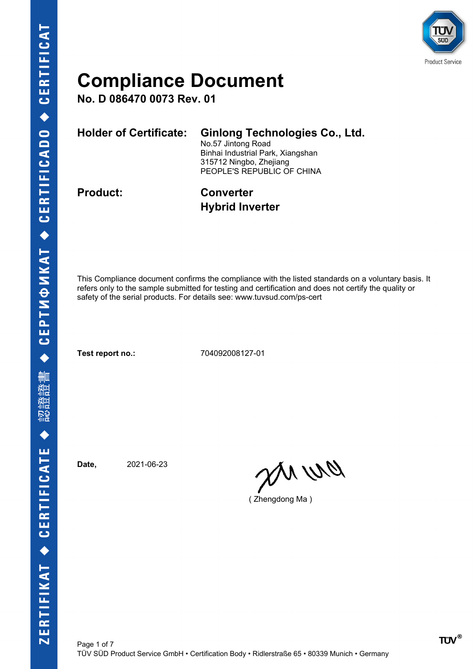

**No. D 086470 0073 Rev. 01**

| <b>Holder of Certificate:</b> | <b>Ginlong Technologies Co., Ltd.</b><br>No.57 Jintong Road<br>Binhai Industrial Park, Xiangshan<br>315712 Ningbo, Zhejiang<br>PEOPLE'S REPUBLIC OF CHINA |
|-------------------------------|-----------------------------------------------------------------------------------------------------------------------------------------------------------|
| <b>Product:</b>               | <b>Converter</b>                                                                                                                                          |

**Hybrid Inverter**

This Compliance document confirms the compliance with the listed standards on a voluntary basis. It refers only to the sample submitted for testing and certification and does not certify the quality or safety of the serial products. For details see: www.tuvsud.com/ps-cert

**Test report no.:** 704092008127-01

**Date,** 2021-06-23

pri wa

( Zhengdong Ma )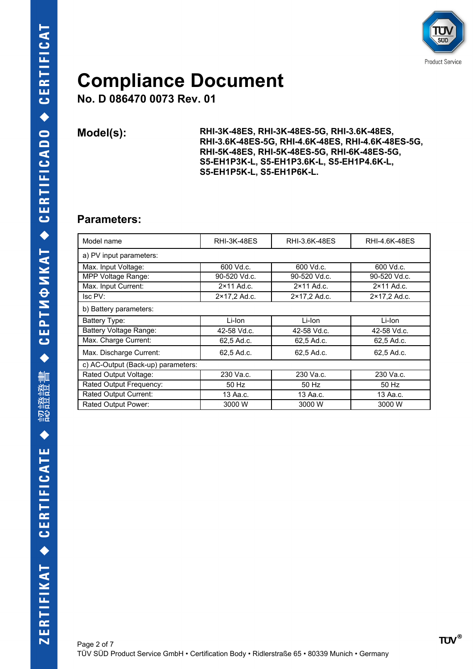

**No. D 086470 0073 Rev. 01**

**Model(s): RHI-3K-48ES, RHI-3K-48ES-5G, RHI-3.6K-48ES, RHI-3.6K-48ES-5G, RHI-4.6K-48ES, RHI-4.6K-48ES-5G, RHI-5K-48ES, RHI-5K-48ES-5G, RHI-6K-48ES-5G, S5-EH1P3K-L, S5-EH1P3.6K-L, S5-EH1P4.6K-L, S5-EH1P5K-L, S5-EH1P6K-L.**

#### **Parameters:**

| Model name                         | <b>RHI-3K-48ES</b>  | RHI-3.6K-48ES       | RHI-4.6K-48ES       |
|------------------------------------|---------------------|---------------------|---------------------|
| a) PV input parameters:            |                     |                     |                     |
| Max. Input Voltage:                | 600 Vd.c.           | 600 Vd.c.           | 600 Vd.c.           |
| MPP Voltage Range:                 | 90-520 Vd.c.        | 90-520 Vd.c.        | 90-520 Vd.c.        |
| Max. Input Current:                | $2 \times 11$ Ad.c. | $2 \times 11$ Ad.c. | $2 \times 11$ Ad.c. |
| Isc PV:                            | 2×17,2 Ad.c.        | 2×17,2 Ad.c.        | 2×17,2 Ad.c.        |
| b) Battery parameters:             |                     |                     |                     |
| Battery Type:                      | Li-Ion              | Li-Ion              | Li-Ion              |
| Battery Voltage Range:             | 42-58 Vd.c.         | 42-58 Vd.c.         | 42-58 Vd.c.         |
| Max. Charge Current:               | 62,5 Ad.c.          | 62.5 Ad.c.          | 62.5 Ad.c.          |
| Max. Discharge Current:            | 62,5 Ad.c.          | 62.5 Ad.c.          | 62.5 Ad.c.          |
| c) AC-Output (Back-up) parameters: |                     |                     |                     |
| Rated Output Voltage:              | 230 Va.c.           | 230 Va.c.           | 230 Va.c.           |
| Rated Output Frequency:            | 50 Hz               | 50 Hz               | 50 Hz               |
| Rated Output Current:              | 13 Aa.c.            | 13 Aa.c.            | 13 Aa.c.            |
| Rated Output Power:                | 3000 W              | 3000 W              | 3000 W              |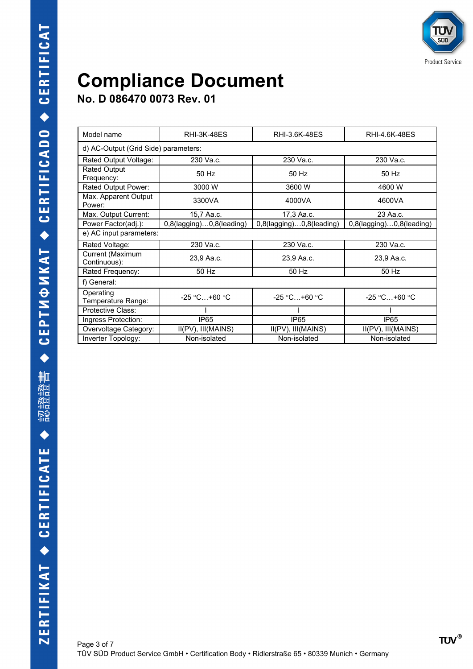

**No. D 086470 0073 Rev. 01**

| Model name                           | <b>RHI-3K-48FS</b>       | RHI-3.6K-48ES            | RHI-4.6K-48ES                   |
|--------------------------------------|--------------------------|--------------------------|---------------------------------|
| d) AC-Output (Grid Side) parameters: |                          |                          |                                 |
| Rated Output Voltage:                | 230 Va.c.                | 230 Va.c.                | 230 Va.c.                       |
| <b>Rated Output</b><br>Frequency:    | 50 Hz                    | 50 Hz                    | 50 Hz                           |
| Rated Output Power:                  | 3000 W                   | 3600 W                   | 4600 W                          |
| Max. Apparent Output<br>Power:       | 3300VA                   | 4000VA                   | 4600VA                          |
| Max. Output Current:                 | 15,7 Aa.c.               | 17,3 Aa.c.               | 23 Aa.c.                        |
| Power Factor(adj.):                  | 0,8(lagging)0,8(leading) | 0,8(lagging)0,8(leading) | $0,8$ (lagging) $0,8$ (leading) |
| e) AC input parameters:              |                          |                          |                                 |
| Rated Voltage:                       | 230 Va.c.                | 230 Va.c.                | 230 Va.c.                       |
| Current (Maximum<br>Continuous):     | 23,9 Aa.c.               | 23,9 Aa.c.               | 23,9 Aa.c.                      |
| Rated Frequency:                     | 50 Hz                    | 50 Hz                    | 50 Hz                           |
| f) General:                          |                          |                          |                                 |
| Operating<br>Temperature Range:      | $-25$ °C +60 °C          | $-25 °C+60 °C$           | $-25 °C+60 °C$                  |
| Protective Class:                    |                          |                          |                                 |
| Ingress Protection:                  | IP <sub>65</sub>         | IP <sub>65</sub>         | IP <sub>65</sub>                |
| Overvoltage Category:                | II(PV), III(MAINS)       | II(PV), III(MAINS)       | II(PV), III(MAINS)              |
| Inverter Topology:                   | Non-isolated             | Non-isolated             | Non-isolated                    |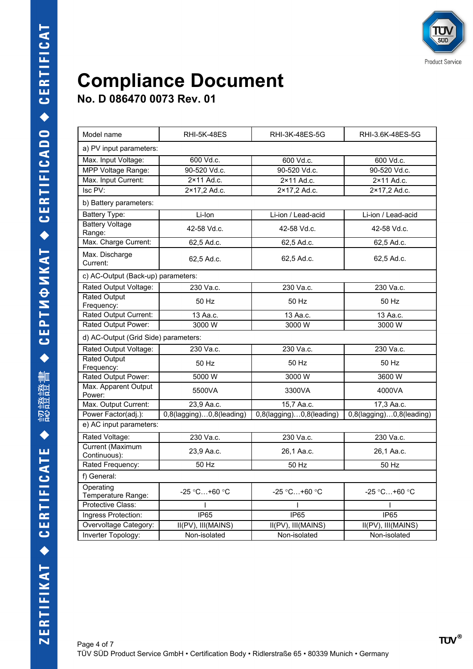**No. D 086470 0073 Rev. 01**

| Model name                           | <b>RHI-5K-48ES</b>              | RHI-3K-48ES-5G                  | RHI-3.6K-48ES-5G                               |
|--------------------------------------|---------------------------------|---------------------------------|------------------------------------------------|
| a) PV input parameters:              |                                 |                                 |                                                |
| Max. Input Voltage:                  | 600 Vd.c.                       | 600 Vd.c.                       | 600 Vd.c.                                      |
| MPP Voltage Range:                   | 90-520 Vd.c.                    | 90-520 Vd.c.                    | 90-520 Vd.c.                                   |
| Max. Input Current:                  | $2 \times 11$ Ad.c.             | 2×11 Ad.c.                      | 2×11 Ad.c.                                     |
| Isc PV:                              | 2×17,2 Ad.c.                    | 2×17,2 Ad.c.                    | 2×17,2 Ad.c.                                   |
| b) Battery parameters:               |                                 |                                 |                                                |
| <b>Battery Type:</b>                 | Li-Ion                          | Li-ion / Lead-acid              | Li-ion / Lead-acid                             |
| <b>Battery Voltage</b><br>Range:     | 42-58 Vd.c.                     | 42-58 Vd.c.                     | 42-58 Vd.c.                                    |
| Max. Charge Current:                 | 62,5 Ad.c.                      | 62,5 Ad.c.                      | 62,5 Ad.c.                                     |
| Max. Discharge<br>Current:           | 62,5 Ad.c.                      | 62,5 Ad.c.                      | 62,5 Ad.c.                                     |
| c) AC-Output (Back-up) parameters:   |                                 |                                 |                                                |
| Rated Output Voltage:                | 230 Va.c.                       | 230 Va.c.                       | 230 Va.c.                                      |
| <b>Rated Output</b><br>Frequency:    | 50 Hz                           | 50 Hz                           | 50 Hz                                          |
| Rated Output Current:                | 13 Aa.c.                        | 13 Aa.c.                        | 13 Aa.c.                                       |
| Rated Output Power:                  | 3000W                           | 3000W                           | 3000W                                          |
| d) AC-Output (Grid Side) parameters: |                                 |                                 |                                                |
| Rated Output Voltage:                | 230 Va.c.                       | 230 Va.c.                       | 230 Va.c.                                      |
| <b>Rated Output</b><br>Frequency:    | 50 Hz                           | 50 Hz                           | 50 Hz                                          |
| Rated Output Power:                  | 5000 W                          | 3000 W                          | 3600 W                                         |
| Max. Apparent Output<br>Power:       | 5500VA                          | 3300VA                          | 4000VA                                         |
| Max. Output Current:                 | 23,9 Aa.c.                      | 15,7 Aa.c.                      | 17,3 Aa.c.                                     |
| Power Factor(adj.):                  | $0,8$ (lagging) $0,8$ (leading) | $0,8$ (lagging) $0,8$ (leading) | 0,8(lagging)0,8(leading)                       |
| e) AC input parameters:              |                                 |                                 |                                                |
| Rated Voltage:                       | 230 Va.c.                       | 230 Va.c.                       | 230 Va.c.                                      |
| Current (Maximum<br>Continuous):     | 23,9 Aa.c.                      | 26,1 Aa.c.                      | 26,1 Aa.c.                                     |
| Rated Frequency:                     | $50$ Hz                         | 50 Hz                           | 50 Hz                                          |
| f) General:                          |                                 |                                 |                                                |
| Operating<br>Temperature Range:      | -25 °C+60 °C                    | -25 $°C+60°C$                   | -25 $°C+60°C$                                  |
| Protective Class:                    |                                 |                                 |                                                |
| Ingress Protection:                  | <b>IP65</b>                     | <b>IP65</b>                     | $\overline{IP65}$                              |
| Overvoltage Category:                | II(PV), III(MAINS)              | II(PV), III(MAINS)              | $\overline{II(PV)}$ , $\overline{III}$ (MAINS) |
| Inverter Topology:                   | Non-isolated                    | Non-isolated                    | Non-isolated                                   |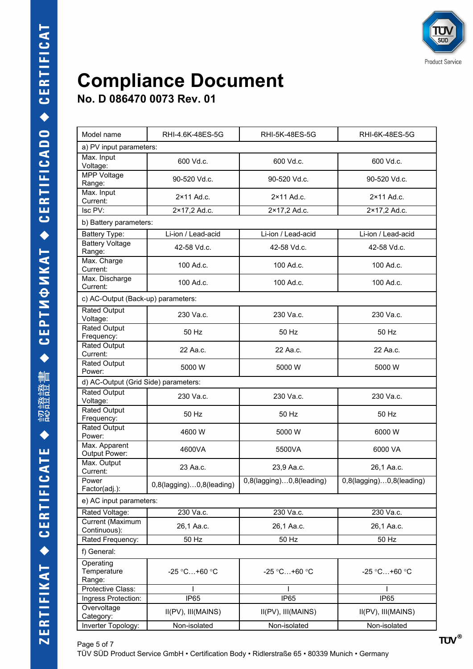**No. D 086470 0073 Rev. 01**

| Model name                           | RHI-4.6K-48ES-5G         | RHI-5K-48ES-5G           | RHI-6K-48ES-5G           |  |
|--------------------------------------|--------------------------|--------------------------|--------------------------|--|
|                                      | a) PV input parameters:  |                          |                          |  |
| Max. Input<br>Voltage:               | 600 Vd.c.                | 600 Vd.c.                | 600 Vd.c.                |  |
| <b>MPP Voltage</b><br>Range:         | 90-520 Vd.c.             | 90-520 Vd.c.             | 90-520 Vd.c.             |  |
| Max. Input<br>Current:               | $2 \times 11$ Ad.c.      | $2 \times 11$ Ad.c.      | $2 \times 11$ Ad.c.      |  |
| Isc PV:                              | 2×17,2 Ad.c.             | 2×17,2 Ad.c.             | 2×17,2 Ad.c.             |  |
| b) Battery parameters:               |                          |                          |                          |  |
| Battery Type:                        | Li-ion / Lead-acid       | Li-ion / Lead-acid       | Li-ion / Lead-acid       |  |
| <b>Battery Voltage</b><br>Range:     | 42-58 Vd.c.              | 42-58 Vd.c.              | 42-58 Vd.c.              |  |
| Max. Charge<br>Current:              | 100 Ad.c.                | 100 Ad.c.                | 100 Ad.c.                |  |
| Max. Discharge<br>Current:           | 100 Ad.c.                | 100 Ad.c.                | 100 Ad.c.                |  |
| c) AC-Output (Back-up) parameters:   |                          |                          |                          |  |
| <b>Rated Output</b><br>Voltage:      | 230 Va.c.                | 230 Va.c.                | 230 Va.c.                |  |
| Rated Output<br>Frequency:           | 50 Hz                    | 50 Hz                    | 50 Hz                    |  |
| <b>Rated Output</b><br>Current:      | 22 Aa.c.                 | 22 Aa.c.                 | 22 Aa.c.                 |  |
| <b>Rated Output</b><br>Power:        | 5000 W                   | 5000 W                   | 5000 W                   |  |
| d) AC-Output (Grid Side) parameters: |                          |                          |                          |  |
| <b>Rated Output</b><br>Voltage:      | 230 Va.c.                | 230 Va.c.                | 230 Va.c.                |  |
| <b>Rated Output</b><br>Frequency:    | 50 Hz                    | 50 Hz                    | 50 Hz                    |  |
| <b>Rated Output</b><br>Power:        | 4600 W                   | 5000 W                   | 6000 W                   |  |
| Max. Apparent<br>Output Power:       | 4600VA                   | 5500VA                   | 6000 VA                  |  |
| Max. Output<br>Current:              | 23 Aa.c.                 | 23,9 Aa.c.               | 26,1 Aa.c.               |  |
| Power<br>Factor(adj.):               | 0,8(lagging)0,8(leading) | 0,8(lagging)0,8(leading) | 0,8(lagging)0,8(leading) |  |
| e) AC input parameters:              |                          |                          |                          |  |
| Rated Voltage:                       | 230 Va.c.                | 230 Va.c.                | 230 Va.c.                |  |
| Current (Maximum<br>Continuous):     | 26,1 Aa.c.               | 26,1 Aa.c.               | 26,1 Aa.c.               |  |
| Rated Frequency:                     | 50 Hz                    | 50 Hz                    | 50 Hz                    |  |
| f) General:                          |                          |                          |                          |  |
| Operating<br>Temperature<br>Range:   | $-25 °C+60 °C$           | $-25 °C+60 °C$           | $-25 °C+60 °C$           |  |
| Protective Class:                    |                          |                          |                          |  |
| Ingress Protection:                  | IP <sub>65</sub>         | IP65                     | IP65                     |  |
| Overvoltage<br>Category:             | II(PV), III(MAINS)       | II(PV), III(MAINS)       | II(PV), III(MAINS)       |  |
| Inverter Topology:                   | Non-isolated             | Non-isolated             | Non-isolated             |  |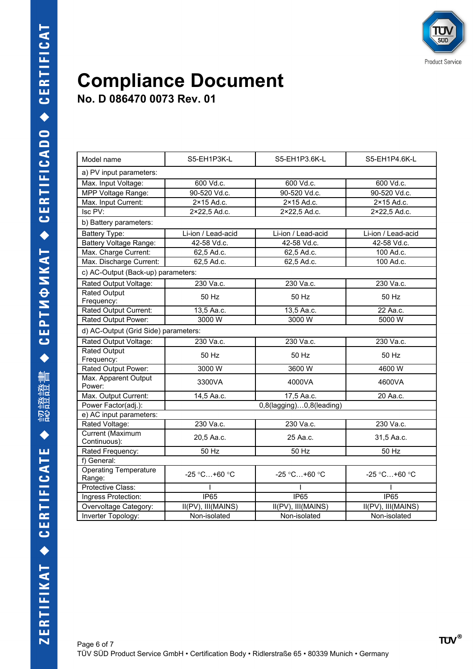

#### **Compliance Document No. D 086470 0073 Rev. 01**

Model name The S5-EH1P3K-L Notel S5-EH1P3.6K-L S5-EH1P4.6K-L a) PV input parameters: Max. Input Voltage: 600 Vd.c. 600 Vd.c. 600 Vd.c. MPP Voltage Range: 90-520 Vd.c. 90-520 Vd.c. 90-520 Vd.c. Max. Input Current:  $\begin{vmatrix} 2 \times 15 \text{ Ad.c.} \end{vmatrix}$  2×15 Ad.c. 2×15 Ad.c. Isc PV: 2×22,5 Ad.c. 2×22,5 Ad.c. 2×22,5 Ad.c. b) Battery parameters: Battery Type: 
Li-ion / Lead-acid
Li-ion / Lead-acid
Li-ion / Lead-acid
Li-ion / Lead-acid
Li-ion / Lead-acid
Li-ion / Lead-acid
Li-ion / Lead-acid
Li-ion / Lead-acid
Li-ion / Lead-acid
Li-ion / Lead-acid
Li-ion / Lead-aci Battery Voltage Range:  $\begin{array}{|c|c|c|c|c|c|c|c|c|} \hline \end{array}$  42-58 Vd.c. 42-58 Vd.c. 42-58 Vd.c. Max. Charge Current:  $\begin{array}{|l|l|} \hline \text{62,5} \text{ Ad.c.} & \text{62,5} \text{ Ad.c.} & \text{100} \text{ Ad.c.} \end{array}$ Max. Discharge Current: 62,5 Ad.c. 62,5 Ad.c. 62,5 Ad.c. 100 Ad.c. c) AC-Output (Back-up) parameters: Rated Output Voltage: 230 Va.c. 230 Va.c. 230 Va.c. 230 Va.c. 230 Va.c. Rated Output<br>Frequency: Frequency: 50 Hz 50 Hz 50 Hz Rated Output Current: 13,5 Aa.c. 13,5 Aa.c. 22 Aa.c. Rated Output Power:  $\frac{3000 \text{ W}}{2000 \text{ W}}$  3000 W 5000 W d) AC-Output (Grid Side) parameters: Rated Output Voltage: | 230 Va.c. | 230 Va.c. | 230 Va.c. | 230 Va.c. Rated Output Frequency: 50 Hz 50 Hz 50 Hz Rated Output Power:  $\begin{array}{|c|c|c|c|c|c|} \hline \text{Rated Output Power:} & \text{3000 W} & \text{3600 W} \hline \end{array}$ Max. Apparent Output<br>Power: wax. Apparent Guiput | 3300VA | 4000VA | 4600VA<br>Power: Max. Output Current: 14,5 Aa.c. 17,5 Aa.c. 20 Aa.c. Power Factor(adj.): 0,8(lagging)...0,8(leading) e) AC input parameters: Rated Voltage: 230 Va.c. 230 Va.c. 230 Va.c. 230 Va.c. 230 Va.c. Current (Maximum<br>Continuous): Unitary (Maximum 20,5 Aa.c. 25 Aa.c. 25 Aa.c. 31,5 Aa.c. Rated Frequency: 50 Hz 50 Hz 50 Hz f) General: Operating Temperature Operating remperature | 25 °C…+60 °C | 25 °C…+60 °C | 25 °C…+60 °C Protective Class: I I I Ingress Protection:  $\vert$  IP65 IP65 Overvoltage Category: | II(PV), III(MAINS) | II(PV), III(MAINS) | II(PV), III(MAINS) Inverter Topology: Non-isolated Non-isolated Non-isolated